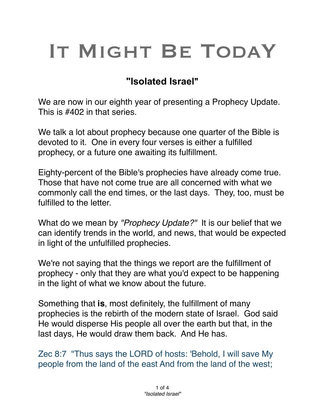# IT MIGHT BE TODAY

## **"Isolated Israel"**

We are now in our eighth year of presenting a Prophecy Update. This is #402 in that series.

We talk a lot about prophecy because one quarter of the Bible is devoted to it. One in every four verses is either a fulfilled prophecy, or a future one awaiting its fulfillment.

Eighty-percent of the Bible's prophecies have already come true. Those that have not come true are all concerned with what we commonly call the end times, or the last days. They, too, must be fulfilled to the letter.

What do we mean by *"Prophecy Update?"* It is our belief that we can identify trends in the world, and news, that would be expected in light of the unfulfilled prophecies.

We're not saying that the things we report are the fulfillment of prophecy - only that they are what you'd expect to be happening in the light of what we know about the future.

Something that **is**, most definitely, the fulfillment of many prophecies is the rebirth of the modern state of Israel. God said He would disperse His people all over the earth but that, in the last days, He would draw them back. And He has.

Zec 8:7 "Thus says the LORD of hosts: 'Behold, I will save My people from the land of the east And from the land of the west;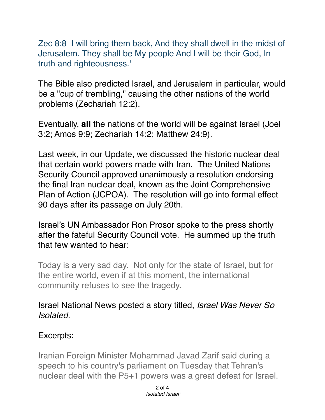Zec 8:8 I will bring them back, And they shall dwell in the midst of Jerusalem. They shall be My people And I will be their God, In truth and righteousness.'

The Bible also predicted Israel, and Jerusalem in particular, would be a "cup of trembling," causing the other nations of the world problems (Zechariah 12:2).

Eventually, **all** the nations of the world will be against Israel (Joel 3:2; Amos 9:9; Zechariah 14:2; Matthew 24:9).

Last week, in our Update, we discussed the historic nuclear deal that certain world powers made with Iran. The United Nations Security Council approved unanimously a resolution endorsing the final Iran nuclear deal, known as the Joint Comprehensive Plan of Action (JCPOA). The resolution will go into formal effect 90 days after its passage on July 20th.

Israel's UN Ambassador Ron Prosor spoke to the press shortly after the fateful Security Council vote. He summed up the truth that few wanted to hear:

Today is a very sad day. Not only for the state of Israel, but for the entire world, even if at this moment, the international community refuses to see the tragedy.

#### Israel National News posted a story titled, *Israel Was Never So Isolated.*

#### Excerpts:

Iranian Foreign Minister Mohammad Javad Zarif said during a speech to his country's parliament on Tuesday that Tehran's nuclear deal with the P5+1 powers was a great defeat for Israel.

> 2 of 4 *"Isolated Israel"*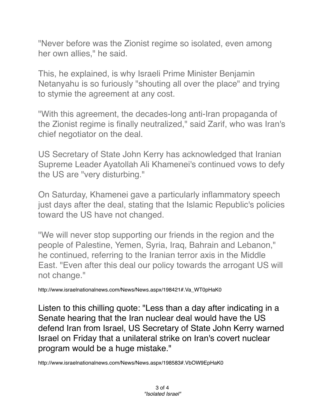"Never before was the Zionist regime so isolated, even among her own allies," he said.

This, he explained, is why Israeli Prime Minister Benjamin Netanyahu is so furiously "shouting all over the place" and trying to stymie the agreement at any cost.

"With this agreement, the decades-long anti-Iran propaganda of the Zionist regime is finally neutralized," said Zarif, who was Iran's chief negotiator on the deal.

US Secretary of State John Kerry has acknowledged that Iranian Supreme Leader Ayatollah Ali Khamenei's continued vows to defy the US are "very disturbing."

On Saturday, Khamenei gave a particularly inflammatory speech just days after the deal, stating that the Islamic Republic's policies toward the US have not changed.

"We will never stop supporting our friends in the region and the people of Palestine, Yemen, Syria, Iraq, Bahrain and Lebanon," he continued, referring to the Iranian terror axis in the Middle East. "Even after this deal our policy towards the arrogant US will not change."

http://www.israelnationalnews.com/News/News.aspx/198421#.Va\_WT0pHaK0

Listen to this chilling quote: "Less than a day after indicating in a Senate hearing that the Iran nuclear deal would have the US defend Iran from Israel, US Secretary of State John Kerry warned Israel on Friday that a unilateral strike on Iran's covert nuclear program would be a huge mistake."

http://www.israelnationalnews.com/News/News.aspx/198583#.VbOW9EpHaK0